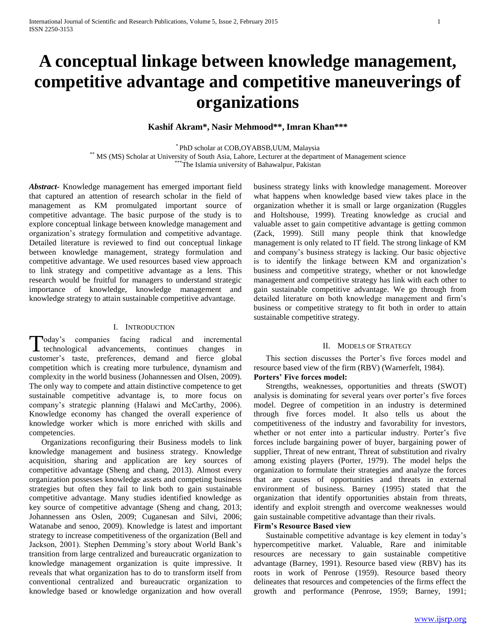# **A conceptual linkage between knowledge management, competitive advantage and competitive maneuverings of organizations**

# **Kashif Akram\*, Nasir Mehmood\*\*, Imran Khan\*\*\***

\* PhD scholar at COB,OYABSB,UUM, Malaysia \*\* MS (MS) Scholar at University of South Asia, Lahore, Lecturer at the department of Management science \*\*\*The Islamia university of Bahawalpur, Pakistan

*Abstract***-** Knowledge management has emerged important field that captured an attention of research scholar in the field of management as KM promulgated important source of competitive advantage. The basic purpose of the study is to explore conceptual linkage between knowledge management and organization's strategy formulation and competitive advantage. Detailed literature is reviewed to find out conceptual linkage between knowledge management, strategy formulation and competitive advantage. We used resources based view approach to link strategy and competitive advantage as a lens. This research would be fruitful for managers to understand strategic importance of knowledge, knowledge management and knowledge strategy to attain sustainable competitive advantage.

## I. INTRODUCTION

Today's companies facing radical and incremental<br>technological advancements, continues changes in technological advancements, continues changes in customer's taste, preferences, demand and fierce global competition which is creating more turbulence, dynamism and complexity in the world business (Johannessen and Olsen, 2009). The only way to compete and attain distinctive competence to get sustainable competitive advantage is, to more focus on company's strategic planning (Halawi and McCarthy, 2006). Knowledge economy has changed the overall experience of knowledge worker which is more enriched with skills and competencies.

 Organizations reconfiguring their Business models to link knowledge management and business strategy. Knowledge acquisition, sharing and application are key sources of competitive advantage (Sheng and chang, 2013). Almost every organization possesses knowledge assets and competing business strategies but often they fail to link both to gain sustainable competitive advantage. Many studies identified knowledge as key source of competitive advantage (Sheng and chang, 2013; Johannessen ans Oslen, 2009; Cuganesan and Silvi, 2006; Watanabe and senoo, 2009). Knowledge is latest and important strategy to increase competitiveness of the organization (Bell and Jackson, 2001). Stephen Demming's story about World Bank's transition from large centralized and bureaucratic organization to knowledge management organization is quite impressive. It reveals that what organization has to do to transform itself from conventional centralized and bureaucratic organization to knowledge based or knowledge organization and how overall

business strategy links with knowledge management. Moreover what happens when knowledge based view takes place in the organization whether it is small or large organization (Ruggles and Holtshouse, 1999). Treating knowledge as crucial and valuable asset to gain competitive advantage is getting common (Zack, 1999). Still many people think that knowledge management is only related to IT field. The strong linkage of KM and company's business strategy is lacking. Our basic objective is to identify the linkage between KM and organization's business and competitive strategy, whether or not knowledge management and competitive strategy has link with each other to gain sustainable competitive advantage. We go through from detailed literature on both knowledge management and firm's business or competitive strategy to fit both in order to attain sustainable competitive strategy.

## II. MODELS OF STRATEGY

 This section discusses the Porter's five forces model and resource based view of the firm (RBV) (Warnerfelt, 1984).

# **Porters' Five forces model:**

 Strengths, weaknesses, opportunities and threats (SWOT) analysis is dominating for several years over porter's five forces model. Degree of competition in an industry is determined through five forces model. It also tells us about the competitiveness of the industry and favorability for investors, whether or not enter into a particular industry. Porter's five forces include bargaining power of buyer, bargaining power of supplier, Threat of new entrant, Threat of substitution and rivalry among existing players (Porter, 1979). The model helps the organization to formulate their strategies and analyze the forces that are causes of opportunities and threats in external environment of business. Barney (1995) stated that the organization that identify opportunities abstain from threats, identify and exploit strength and overcome weaknesses would gain sustainable competitive advantage than their rivals.

#### **Firm's Resource Based view**

 Sustainable competitive advantage is key element in today's hypercompetitive market. Valuable, Rare and inimitable resources are necessary to gain sustainable competitive advantage (Barney, 1991). Resource based view (RBV) has its roots in work of Penrose (1959). Resource based theory delineates that resources and competencies of the firms effect the growth and performance (Penrose, 1959; Barney, 1991;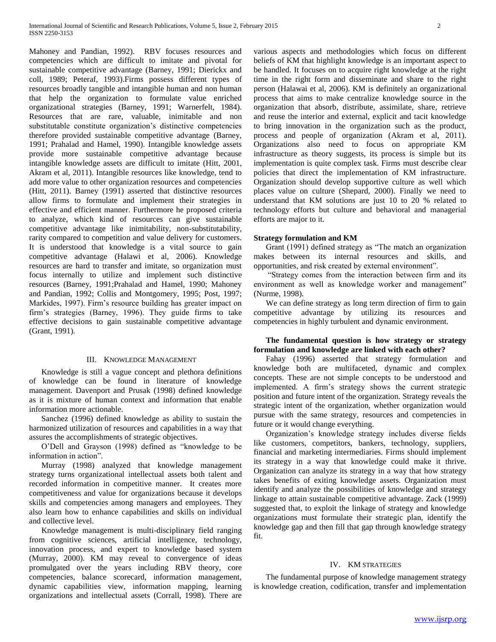Mahoney and Pandian, 1992). RBV focuses resources and competencies which are difficult to imitate and pivotal for sustainable competitive advantage (Barney, 1991; Dierickx and coll, 1989; Peteraf, 1993).Firms possess different types of resources broadly tangible and intangible human and non human that help the organization to formulate value enriched organizational strategies (Barney, 1991; Warnerfelt, 1984). Resources that are rare, valuable, inimitable and non substitutable constitute organization's distinctive competencies therefore provided sustainable competitive advantage (Barney, 1991; Prahalad and Hamel, 1990). Intangible knowledge assets provide more sustainable competitive advantage because intangible knowledge assets are difficult to imitate (Hitt, 2001, Akram et al, 2011). Intangible resources like knowledge, tend to add more value to other organization resources and competencies (Hitt, 2011). Barney (1991) asserted that distinctive resources allow firms to formulate and implement their strategies in effective and efficient manner. Furthermore he proposed criteria to analyze, which kind of resources can give sustainable competitive advantage like inimitability, non-substitutability, rarity compared to competition and value delivery for customers. It is understood that knowledge is a vital source to gain competitive advantage (Halawi et al, 2006). Knowledge resources are hard to transfer and imitate, so organization must focus internally to utilize and implement such distinctive resources (Barney, 1991;Prahalad and Hamel, 1990; Mahoney and Pandian, 1992; Collis and Montgomery, 1995; Post, 1997; Markides, 1997). Firm's resource building has greater impact on firm's strategies (Barney, 1996). They guide firms to take effective decisions to gain sustainable competitive advantage (Grant, 1991).

## III. KNOWLEDGE MANAGEMENT

 Knowledge is still a vague concept and plethora definitions of knowledge can be found in literature of knowledge management. Davenport and Prusak (1998) defined knowledge as it is mixture of human context and information that enable information more actionable.

 Sanchez (1996) defined knowledge as ability to sustain the harmonized utilization of resources and capabilities in a way that assures the accomplishments of strategic objectives.

 O'Dell and Grayson (1998) defined as "knowledge to be information in action".

 Murray (1998) analyzed that knowledge management strategy turns organizational intellectual assets both talent and recorded information in competitive manner. It creates more competitiveness and value for organizations because it develops skills and competencies among managers and employees. They also learn how to enhance capabilities and skills on individual and collective level.

 Knowledge management is multi-disciplinary field ranging from cognitive sciences, artificial intelligence, technology, innovation process, and expert to knowledge based system (Murray, 2000). KM may reveal to convergence of ideas promulgated over the years including RBV theory, core competencies, balance scorecard, information management, dynamic capabilities view, information mapping, learning organizations and intellectual assets (Corrall, 1998). There are

various aspects and methodologies which focus on different beliefs of KM that highlight knowledge is an important aspect to be handled. It focuses on to acquire right knowledge at the right time in the right form and disseminate and share to the right person (Halawai et al, 2006). KM is definitely an organizational process that aims to make centralize knowledge source in the organization that absorb, distribute, assimilate, share, retrieve and reuse the interior and external, explicit and tacit knowledge to bring innovation in the organization such as the product, process and people of organization (Akram et al, 2011). Organizations also need to focus on appropriate KM infrastructure as theory suggests, its process is simple but its implementation is quite complex task. Firms must describe clear policies that direct the implementation of KM infrastructure. Organization should develop supportive culture as well which places value on culture (Shepard, 2000). Finally we need to understand that KM solutions are just 10 to 20 % related to technology efforts but culture and behavioral and managerial efforts are major to it.

#### **Strategy formulation and KM**

 Grant (1991) defined strategy as "The match an organization makes between its internal resources and skills, and opportunities, and risk created by external environment".

 "Strategy comes from the interaction between firm and its environment as well as knowledge worker and management" (Nurme, 1998).

 We can define strategy as long term direction of firm to gain competitive advantage by utilizing its resources and competencies in highly turbulent and dynamic environment.

## **The fundamental question is how strategy or strategy formulation and knowledge are linked with each other?**

 Fahay (1996) asserted that strategy formulation and knowledge both are multifaceted, dynamic and complex concepts. These are not simple concepts to be understood and implemented. A firm's strategy shows the current strategic position and future intent of the organization. Strategy reveals the strategic intent of the organization, whether organization would pursue with the same strategy, resources and competencies in future or it would change everything.

 Organization's knowledge strategy includes diverse fields like customers, competitors, bankers, technology, suppliers, financial and marketing intermediaries. Firms should implement its strategy in a way that knowledge could make it thrive. Organization can analyze its strategy in a way that how strategy takes benefits of exiting knowledge assets. Organization must identify and analyze the possibilities of knowledge and strategy linkage to attain sustainable competitive advantage. Zack (1999) suggested that, to exploit the linkage of strategy and knowledge organizations must formulate their strategic plan, identify the knowledge gap and then fill that gap through knowledge strategy fit.

## IV. KM STRATEGIES

 The fundamental purpose of knowledge management strategy is knowledge creation, codification, transfer and implementation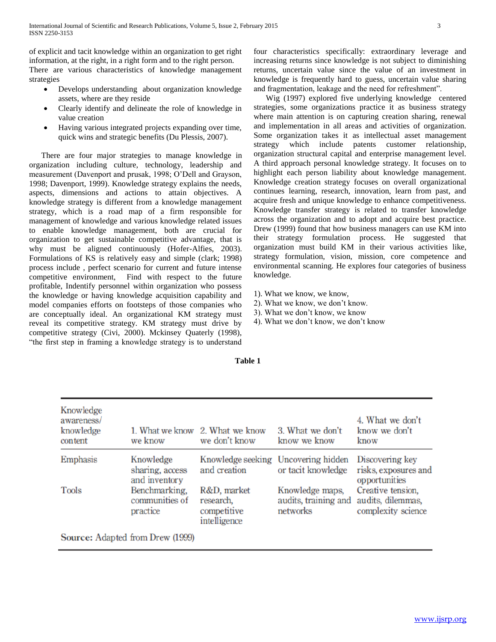of explicit and tacit knowledge within an organization to get right information, at the right, in a right form and to the right person.

There are various characteristics of knowledge management strategies

- Develops understanding about organization knowledge assets, where are they reside
- Clearly identify and delineate the role of knowledge in value creation
- Having various integrated projects expanding over time, quick wins and strategic benefits (Du Plessis, 2007).

 There are four major strategies to manage knowledge in organization including culture, technology, leadership and measurement (Davenport and prusak, 1998; O'Dell and Grayson, 1998; Davenport, 1999). Knowledge strategy explains the needs, aspects, dimensions and actions to attain objectives. A knowledge strategy is different from a knowledge management strategy, which is a road map of a firm responsible for management of knowledge and various knowledge related issues to enable knowledge management, both are crucial for organization to get sustainable competitive advantage, that is why must be aligned continuously (Hofer-Alfies, 2003). Formulations of KS is relatively easy and simple (clark; 1998) process include , perfect scenario for current and future intense competitive environment, Find with respect to the future profitable, Indentify personnel within organization who possess the knowledge or having knowledge acquisition capability and model companies efforts on footsteps of those companies who are conceptually ideal. An organizational KM strategy must reveal its competitive strategy. KM strategy must drive by competitive strategy (Civi, 2000). Mckinsey Quaterly (1998), "the first step in framing a knowledge strategy is to understand

four characteristics specifically: extraordinary leverage and increasing returns since knowledge is not subject to diminishing returns, uncertain value since the value of an investment in knowledge is frequently hard to guess, uncertain value sharing and fragmentation, leakage and the need for refreshment".

 Wig (1997) explored five underlying knowledge centered strategies, some organizations practice it as business strategy where main attention is on capturing creation sharing, renewal and implementation in all areas and activities of organization. Some organization takes it as intellectual asset management strategy which include patents customer relationship, organization structural capital and enterprise management level. A third approach personal knowledge strategy. It focuses on to highlight each person liability about knowledge management. Knowledge creation strategy focuses on overall organizational continues learning, research, innovation, learn from past, and acquire fresh and unique knowledge to enhance competitiveness. Knowledge transfer strategy is related to transfer knowledge across the organization and to adopt and acquire best practice. Drew (1999) found that how business managers can use KM into their strategy formulation process. He suggested that organization must build KM in their various activities like, strategy formulation, vision, mission, core competence and environmental scanning. He explores four categories of business knowledge.

- 1). What we know, we know,
- 2). What we know, we don't know.
- 3). What we don't know, we know
- 4). What we don't know, we don't know

| Knowledge<br>awareness/<br>knowledge<br>content | 1. What we know<br>we know                    | 2. What we know<br>we don't know                        | 3. What we don't<br>know we know                          | 4. What we don't<br>know we don't<br>know                    |
|-------------------------------------------------|-----------------------------------------------|---------------------------------------------------------|-----------------------------------------------------------|--------------------------------------------------------------|
| Emphasis                                        | Knowledge<br>sharing, access<br>and inventory | and creation                                            | Knowledge seeking Uncovering hidden<br>or tacit knowledge | Discovering key<br>risks, exposures and<br>opportunities     |
| Tools                                           | Benchmarking,<br>communities of<br>practice   | R&D, market<br>research,<br>competitive<br>intelligence | Knowledge maps,<br>audits, training and<br>networks       | Creative tension,<br>audits, dilemmas,<br>complexity science |

**Table 1**

Source: Adapted from Drew (1999)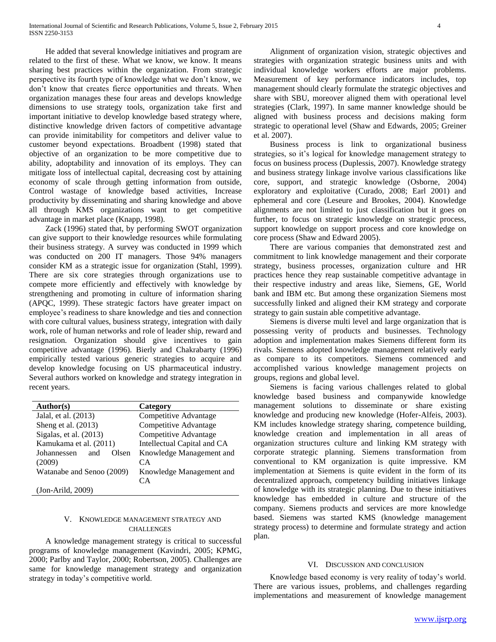He added that several knowledge initiatives and program are related to the first of these. What we know, we know. It means sharing best practices within the organization. From strategic perspective its fourth type of knowledge what we don't know, we don't know that creates fierce opportunities and threats. When organization manages these four areas and develops knowledge dimensions to use strategy tools, organization take first and important initiative to develop knowledge based strategy where, distinctive knowledge driven factors of competitive advantage can provide inimitability for competitors and deliver value to customer beyond expectations. Broadbent (1998) stated that objective of an organization to be more competitive due to ability, adoptability and innovation of its employs. They can mitigate loss of intellectual capital, decreasing cost by attaining economy of scale through getting information from outside, Control wastage of knowledge based activities, Increase productivity by disseminating and sharing knowledge and above all through KMS organizations want to get competitive advantage in market place (Knapp, 1998).

 Zack (1996) stated that, by performing SWOT organization can give support to their knowledge resources while formulating their business strategy. A survey was conducted in 1999 which was conducted on 200 IT managers. Those 94% managers consider KM as a strategic issue for organization (Stahl, 1999). There are six core strategies through organizations use to compete more efficiently and effectively with knowledge by strengthening and promoting in culture of information sharing (APQC, 1999). These strategic factors have greater impact on employee's readiness to share knowledge and ties and connection with core cultural values, business strategy, integration with daily work, role of human networks and role of leader ship, reward and resignation. Organization should give incentives to gain competitive advantage (1996). Bierly and Chakrabarty (1996) empirically tested various generic strategies to acquire and develop knowledge focusing on US pharmaceutical industry. Several authors worked on knowledge and strategy integration in recent years.

| Author(s)                   | Category                    |  |
|-----------------------------|-----------------------------|--|
| Jalal, et al. (2013)        | Competitive Advantage       |  |
| Sheng et al. (2013)         | Competitive Advantage       |  |
| Sigalas, et al. $(2013)$    | Competitive Advantage       |  |
| Kamukama et al. (2011)      | Intellectual Capital and CA |  |
| Johannessen<br>Olsen<br>and | Knowledge Management and    |  |
| (2009)                      | CA                          |  |
| Watanabe and Senoo (2009)   | Knowledge Management and    |  |
|                             | CA                          |  |
| $(Jon-Arild, 2009)$         |                             |  |

# V. KNOWLEDGE MANAGEMENT STRATEGY AND CHALLENGES

 A knowledge management strategy is critical to successful programs of knowledge management (Kavindri, 2005; KPMG, 2000; Parlby and Taylor, 2000; Robertson, 2005). Challenges are same for knowledge management strategy and organization strategy in today's competitive world.

 Alignment of organization vision, strategic objectives and strategies with organization strategic business units and with individual knowledge workers efforts are major problems. Measurement of key performance indicators includes, top management should clearly formulate the strategic objectives and share with SBU, moreover aligned them with operational level strategies (Clark, 1997). In same manner knowledge should be aligned with business process and decisions making form strategic to operational level (Shaw and Edwards, 2005; Greiner et al. 2007).

 Business process is link to organizational business strategies, so it's logical for knowledge management strategy to focus on business process (Duplessis, 2007). Knowledge strategy and business strategy linkage involve various classifications like core, support, and strategic knowledge (Osborne, 2004) exploratory and exploitative (Curado, 2008; Earl 2001) and ephemeral and core (Leseure and Brookes, 2004). Knowledge alignments are not limited to just classification but it goes on further, to focus on strategic knowledge on strategic process, support knowledge on support process and core knowledge on core process (Shaw and Edward 2005).

 There are various companies that demonstrated zest and commitment to link knowledge management and their corporate strategy, business processes, organization culture and HR practices hence they reap sustainable competitive advantage in their respective industry and areas like, Siemens, GE, World bank and IBM etc. But among these organization Siemens most successfully linked and aligned their KM strategy and corporate strategy to gain sustain able competitive advantage.

 Siemens is diverse multi level and large organization that is possessing verity of products and businesses. Technology adoption and implementation makes Siemens different form its rivals. Siemens adopted knowledge management relatively early as compare to its competitors. Siemens commenced and accomplished various knowledge management projects on groups, regions and global level.

 Siemens is facing various challenges related to global knowledge based business and companywide knowledge management solutions to disseminate or share existing knowledge and producing new knowledge (Hofer-Alfeis, 2003). KM includes knowledge strategy sharing, competence building, knowledge creation and implementation in all areas of organization structures culture and linking KM strategy with corporate strategic planning. Siemens transformation from conventional to KM organization is quite impressive. KM implementation at Siemens is quite evident in the form of its decentralized approach, competency building initiatives linkage of knowledge with its strategic planning. Due to these initiatives knowledge has embedded in culture and structure of the company. Siemens products and services are more knowledge based. Siemens was started KMS (knowledge management strategy process) to determine and formulate strategy and action plan.

# VI. DISCUSSION AND CONCLUSION

 Knowledge based economy is very reality of today's world. There are various issues, problems, and challenges regarding implementations and measurement of knowledge management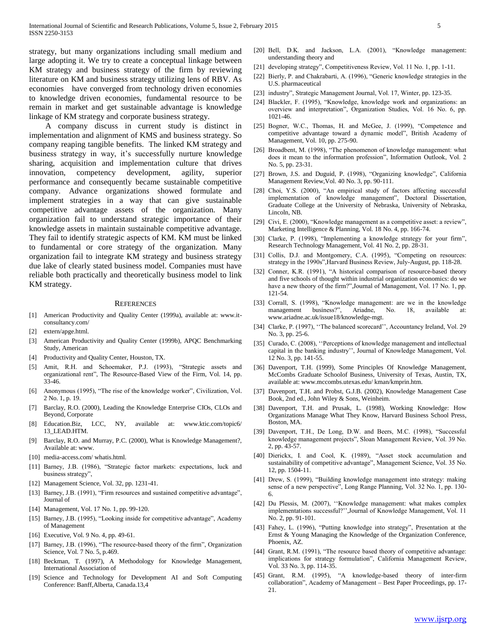strategy, but many organizations including small medium and large adopting it. We try to create a conceptual linkage between KM strategy and business strategy of the firm by reviewing literature on KM and business strategy utilizing lens of RBV. As economies have converged from technology driven economies to knowledge driven economies, fundamental resource to be remain in market and get sustainable advantage is knowledge linkage of KM strategy and corporate business strategy.

 A company discuss in current study is distinct in implementation and alignment of KMS and business strategy. So company reaping tangible benefits. The linked KM strategy and business strategy in way, it's successfully nurture knowledge sharing, acquisition and implementation culture that drives innovation, competency development, agility, superior performance and consequently became sustainable competitive company. Advance organizations showed formulate and implement strategies in a way that can give sustainable competitive advantage assets of the organization. Many organization fail to understand strategic importance of their knowledge assets in maintain sustainable competitive advantage. They fail to identify strategic aspects of KM. KM must be linked to fundamental or core strategy of the organization. Many organization fail to integrate KM strategy and business strategy due lake of clearly stated business model. Companies must have reliable both practically and theoretically business model to link KM strategy.

#### **REFERENCES**

- [1] American Productivity and Quality Center (1999a), available at: www.itconsultancy.com/
- [2] extern/apge.html.
- [3] American Productivity and Quality Center (1999b), APQC Benchmarking Study, American
- [4] Productivity and Quality Center, Houston, TX.
- [5] Amit, R.H. and Schoemaker, P.J. (1993), "Strategic assets and organizational rent", The Resource-Based View of the Firm, Vol. 14, pp. 33-46.
- [6] Anonymous (1995), "The rise of the knowledge worker", Civilization, Vol. 2 No. 1, p. 19.
- [7] Barclay, R.O. (2000), Leading the Knowledge Enterprise CIOs, CLOs and Beyond, Corporate
- [8] Education.Biz, LCC, NY, available at: www.ktic.com/topic6/ 13\_LEAD.HTM.
- [9] Barclay, R.O. and Murray, P.C. (2000), What is Knowledge Management?, Available at: www.
- [10] media-access.com/ whatis.html.
- [11] Barney, J.B. (1986), "Strategic factor markets: expectations, luck and business strategy",
- [12] Management Science, Vol. 32, pp. 1231-41.
- [13] Barney, J.B. (1991), "Firm resources and sustained competitive advantage", Journal of
- [14] Management, Vol. 17 No. 1, pp. 99-120.
- [15] Barney, J.B. (1995), "Looking inside for competitive advantage", Academy of Management
- [16] Executive, Vol. 9 No. 4, pp. 49-61.
- [17] Barney, J.B. (1996), "The resource-based theory of the firm", Organization Science, Vol. 7 No. 5, p.469.
- [18] Beckman, T. (1997), A Methodology for Knowledge Management, International Association of
- [19] Science and Technology for Development AI and Soft Computing Conference: Banff,Alberta, Canada.13,4
- [20] Bell, D.K. and Jackson, L.A. (2001), "Knowledge management: understanding theory and
- [21] developing strategy", Competitiveness Review, Vol. 11 No. 1, pp. 1-11.
- [22] Bierly, P. and Chakrabarti, A. (1996), "Generic knowledge strategies in the U.S. pharmaceutical
- [23] industry", Strategic Management Journal, Vol. 17, Winter, pp. 123-35.
- [24] Blackler, F. (1995), "Knowledge, knowledge work and organizations: an overview and interpretation", Organization Studies, Vol. 16 No. 6, pp. 1021-46.
- [25] Bogner, W.C., Thomas, H. and McGee, J. (1999), "Competence and competitive advantage toward a dynamic model", British Academy of Management, Vol. 10, pp. 275-90.
- [26] Broadbent, M. (1998), "The phenomenon of knowledge management: what does it mean to the information profession", Information Outlook, Vol. 2 No. 5, pp. 23-31.
- [27] Brown, J.S. and Duguid, P. (1998), "Organizing knowledge", California Management Review,Vol. 40 No. 3, pp. 90-111.
- [28] Choi, Y.S. (2000), "An empirical study of factors affecting successful implementation of knowledge management", Doctoral Dissertation, Graduate College at the University of Nebraska, University of Nebraska, Lincoln, NB.
- [29] Civi, E. (2000), "Knowledge management as a competitive asset: a review", Marketing Intelligence & Planning, Vol. 18 No. 4, pp. 166-74.
- [30] Clarke, P. (1998), "Implementing a knowledge strategy for your firm", Research Technology Management, Vol. 41 No. 2, pp. 28-31.
- [31] Collis, D.J. and Montgomery, C.A. (1995), "Competing on resources: strategy in the 1990s",Harvard Business Review, July-August, pp. 118-28.
- [32] Conner, K.R. (1991), "A historical comparison of resource-based theory and five schools of thought within industrial organization economics: do we have a new theory of the firm?",Journal of Management, Vol. 17 No. 1, pp. 121-54.
- [33] Corrall, S. (1998), "Knowledge management: are we in the knowledge management business?", Ariadne, No. 18, available at: www.ariadne.ac.uk/issue18/knowledge-mgt.
- [34] Clarke, P. (1997), "The balanced scorecard", Accountancy Ireland, Vol. 29 No. 3, pp. 25-6.
- [35] Curado, C. (2008), "Perceptions of knowledge management and intellectual capital in the banking industry'', Journal of Knowledge Management, Vol. 12 No. 3, pp. 141-55.
- [36] Davenport, T.H. (1999), Some Principles Of Knowledge Management, McCombs Graduate Schoolof Business, University of Texas, Austin, TX, available at: www.mccombs.utexas.edu/ kman/kmprin.htm.
- [37] Davenport, T.H. and Probst, G.J.B. (2002), Knowledge Management Case Book, 2nd ed., John Wiley & Sons, Weinheim.
- [38] Davenport, T.H. and Prusak, L. (1998), Working Knowledge: How Organizations Manage What They Know, Harvard Business School Press, Boston, MA.
- [39] Davenport, T.H., De Long, D.W. and Beers, M.C. (1998), "Successful knowledge management projects", Sloan Management Review, Vol. 39 No. 2, pp. 43-57.
- [40] Dierickx, I. and Cool, K. (1989), "Asset stock accumulation and sustainability of competitive advantage", Management Science, Vol. 35 No. 12, pp. 1504-11.
- [41] Drew, S. (1999), "Building knowledge management into strategy: making sense of a new perspective", Long Range Planning, Vol. 32 No. 1, pp. 130- 6.
- [42] Du Plessis, M. (2007), ''Knowledge management: what makes complex implementations successful?'',Journal of Knowledge Management, Vol. 11 No. 2, pp. 91-101.
- [43] Fahey, L. (1996), "Putting knowledge into strategy", Presentation at the Ernst & Young Managing the Knowledge of the Organization Conference, Phoenix, AZ.
- [44] Grant, R.M. (1991), "The resource based theory of competitive advantage: implications for strategy formulation", California Management Review, Vol. 33 No. 3, pp. 114-35.
- [45] Grant, R.M. (1995), "A knowledge-based theory of inter-firm collaboration", Academy of Management – Best Paper Proceedings, pp. 17- 21.